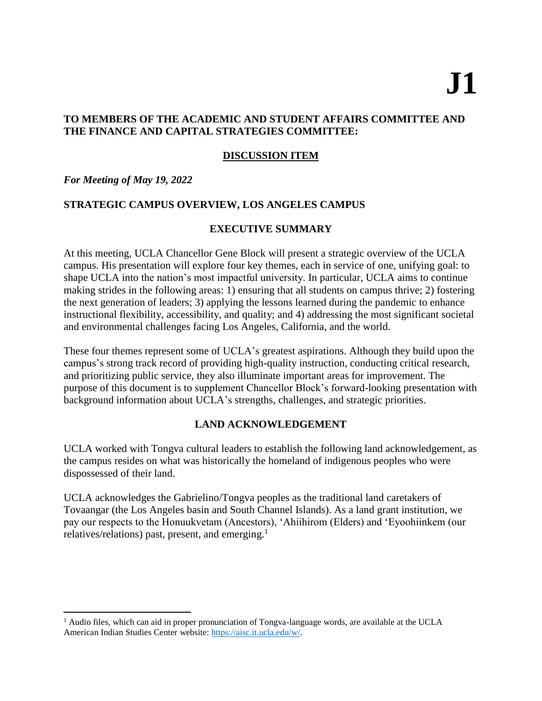# **J1**

## **TO MEMBERS OF THE ACADEMIC AND STUDENT AFFAIRS COMMITTEE AND THE FINANCE AND CAPITAL STRATEGIES COMMITTEE:**

# **DISCUSSION ITEM**

## *For Meeting of May 19, 2022*

 $\overline{a}$ 

# **STRATEGIC CAMPUS OVERVIEW, LOS ANGELES CAMPUS**

# **EXECUTIVE SUMMARY**

At this meeting, UCLA Chancellor Gene Block will present a strategic overview of the UCLA campus. His presentation will explore four key themes, each in service of one, unifying goal: to shape UCLA into the nation's most impactful university. In particular, UCLA aims to continue making strides in the following areas: 1) ensuring that all students on campus thrive; 2) fostering the next generation of leaders; 3) applying the lessons learned during the pandemic to enhance instructional flexibility, accessibility, and quality; and 4) addressing the most significant societal and environmental challenges facing Los Angeles, California, and the world.

These four themes represent some of UCLA's greatest aspirations. Although they build upon the campus's strong track record of providing high-quality instruction, conducting critical research, and prioritizing public service, they also illuminate important areas for improvement. The purpose of this document is to supplement Chancellor Block's forward-looking presentation with background information about UCLA's strengths, challenges, and strategic priorities.

# **LAND ACKNOWLEDGEMENT**

UCLA worked with Tongva cultural leaders to establish the following land acknowledgement, as the campus resides on what was historically the homeland of indigenous peoples who were dispossessed of their land.

UCLA acknowledges the Gabrielino/Tongva peoples as the traditional land caretakers of Tovaangar (the Los Angeles basin and South Channel Islands). As a land grant institution, we pay our respects to the Honuukvetam (Ancestors), 'Ahiihirom (Elders) and 'Eyoohiinkem (our relatives/relations) past, present, and emerging. $<sup>1</sup>$ </sup>

<sup>&</sup>lt;sup>1</sup> Audio files, which can aid in proper pronunciation of Tongva-language words, are available at the UCLA American Indian Studies Center website: [https://aisc.it.ucla.edu/w/.](https://aisc.it.ucla.edu/w/)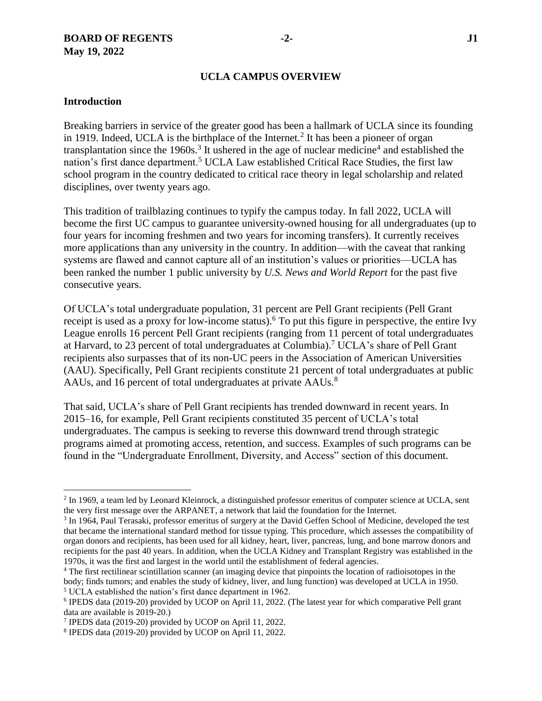#### **UCLA CAMPUS OVERVIEW**

#### **Introduction**

 $\overline{a}$ 

Breaking barriers in service of the greater good has been a hallmark of UCLA since its founding in 1919. Indeed, UCLA is the birthplace of the Internet.<sup>2</sup> It has been a pioneer of organ transplantation since the 1960s.<sup>3</sup> It ushered in the age of nuclear medicine<sup>4</sup> and established the nation's first dance department.<sup>5</sup> UCLA Law established Critical Race Studies, the first law school program in the country dedicated to critical race theory in legal scholarship and related disciplines, over twenty years ago.

This tradition of trailblazing continues to typify the campus today. In fall 2022, UCLA will become the first UC campus to guarantee university-owned housing for all undergraduates (up to four years for incoming freshmen and two years for incoming transfers). It currently receives more applications than any university in the country. In addition—with the caveat that ranking systems are flawed and cannot capture all of an institution's values or priorities—UCLA has been ranked the number 1 public university by *U.S. News and World Report* for the past five consecutive years.

Of UCLA's total undergraduate population, 31 percent are Pell Grant recipients (Pell Grant receipt is used as a proxy for low-income status). <sup>6</sup> To put this figure in perspective, the entire Ivy League enrolls 16 percent Pell Grant recipients (ranging from 11 percent of total undergraduates at Harvard, to 23 percent of total undergraduates at Columbia).<sup>7</sup> UCLA's share of Pell Grant recipients also surpasses that of its non-UC peers in the Association of American Universities (AAU). Specifically, Pell Grant recipients constitute 21 percent of total undergraduates at public AAUs, and 16 percent of total undergraduates at private AAUs.<sup>8</sup>

That said, UCLA's share of Pell Grant recipients has trended downward in recent years. In 2015–16, for example, Pell Grant recipients constituted 35 percent of UCLA's total undergraduates. The campus is seeking to reverse this downward trend through strategic programs aimed at promoting access, retention, and success. Examples of such programs can be found in the "Undergraduate Enrollment, Diversity, and Access" section of this document.

<sup>&</sup>lt;sup>2</sup> In 1969, a team led by Leonard Kleinrock, a distinguished professor emeritus of computer science at UCLA, sent the very first message over the ARPANET, a network that laid the foundation for the Internet.

<sup>&</sup>lt;sup>3</sup> In 1964, Paul Terasaki, professor emeritus of surgery at the David Geffen School of Medicine, developed the test that became the international standard method for tissue typing. This procedure, which assesses the compatibility of organ donors and recipients, has been used for all kidney, heart, liver, pancreas, lung, and bone marrow donors and recipients for the past 40 years. In addition, when the UCLA Kidney and Transplant Registry was established in the 1970s, it was the first and largest in the world until the establishment of federal agencies.

<sup>&</sup>lt;sup>4</sup> The first rectilinear scintillation scanner (an imaging device that pinpoints the location of radioisotopes in the body; finds tumors; and enables the study of kidney, liver, and lung function) was developed at UCLA in 1950.

<sup>5</sup> UCLA established the nation's first dance department in 1962.

<sup>6</sup> IPEDS data (2019-20) provided by UCOP on April 11, 2022. (The latest year for which comparative Pell grant data are available is 2019-20.)

<sup>7</sup> IPEDS data (2019-20) provided by UCOP on April 11, 2022.

<sup>8</sup> IPEDS data (2019-20) provided by UCOP on April 11, 2022.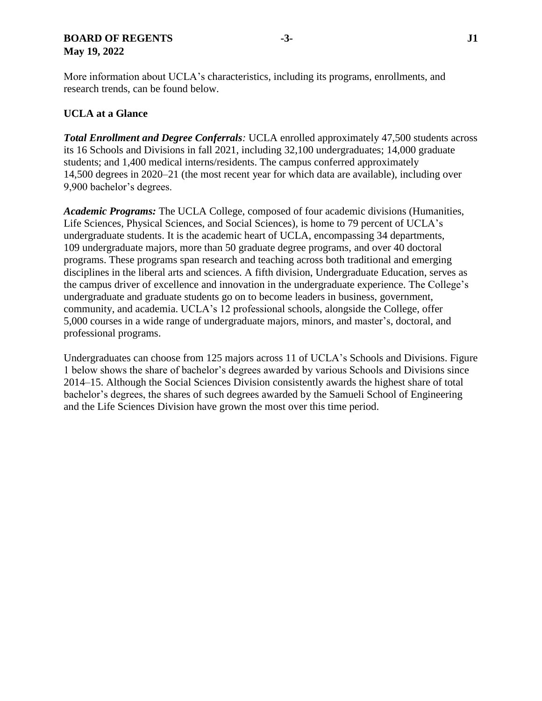#### **BOARD OF REGENTS -3- J1 May 19, 2022**

More information about UCLA's characteristics, including its programs, enrollments, and research trends, can be found below.

# **UCLA at a Glance**

*Total Enrollment and Degree Conferrals:* UCLA enrolled approximately 47,500 students across its 16 Schools and Divisions in fall 2021, including 32,100 undergraduates; 14,000 graduate students; and 1,400 medical interns/residents. The campus conferred approximately 14,500 degrees in 2020–21 (the most recent year for which data are available), including over 9,900 bachelor's degrees.

*Academic Programs:* The UCLA College, composed of four academic divisions (Humanities, Life Sciences, Physical Sciences, and Social Sciences), is home to 79 percent of UCLA's undergraduate students. It is the academic heart of UCLA, encompassing 34 departments, 109 undergraduate majors, more than 50 graduate degree programs, and over 40 doctoral programs. These programs span research and teaching across both traditional and emerging disciplines in the liberal arts and sciences. A fifth division, Undergraduate Education, serves as the campus driver of excellence and innovation in the undergraduate experience. The College's undergraduate and graduate students go on to become leaders in business, government, community, and academia. UCLA's 12 professional schools, alongside the College, offer 5,000 courses in a wide range of undergraduate majors, minors, and master's, doctoral, and professional programs.

Undergraduates can choose from 125 majors across 11 of UCLA's Schools and Divisions. Figure 1 below shows the share of bachelor's degrees awarded by various Schools and Divisions since 2014–15. Although the Social Sciences Division consistently awards the highest share of total bachelor's degrees, the shares of such degrees awarded by the Samueli School of Engineering and the Life Sciences Division have grown the most over this time period.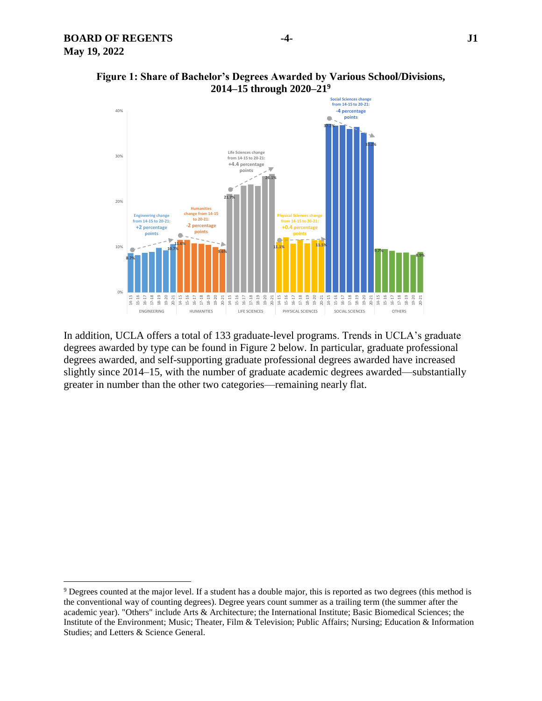l



#### **Figure 1: Share of Bachelor's Degrees Awarded by Various School/Divisions, 2014–15 through 2020–21<sup>9</sup>**

In addition, UCLA offers a total of 133 graduate-level programs. Trends in UCLA's graduate degrees awarded by type can be found in Figure 2 below. In particular, graduate professional degrees awarded, and self-supporting graduate professional degrees awarded have increased slightly since 2014–15, with the number of graduate academic degrees awarded—substantially greater in number than the other two categories—remaining nearly flat.

<sup>&</sup>lt;sup>9</sup> Degrees counted at the major level. If a student has a double major, this is reported as two degrees (this method is the conventional way of counting degrees). Degree years count summer as a trailing term (the summer after the academic year). "Others" include Arts & Architecture; the International Institute; Basic Biomedical Sciences; the Institute of the Environment; Music; Theater, Film & Television; Public Affairs; Nursing; Education & Information Studies; and Letters & Science General.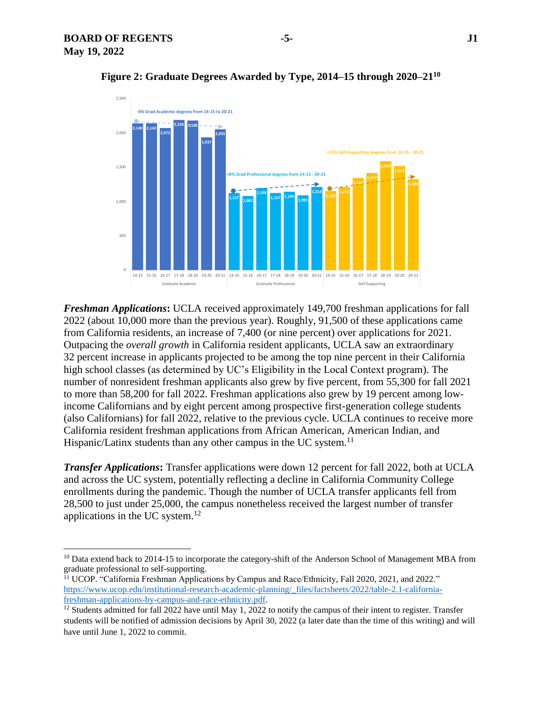$\overline{a}$ 



**Figure 2: Graduate Degrees Awarded by Type, 2014–15 through 2020–21<sup>10</sup>**

*Freshman Applications***:** UCLA received approximately 149,700 freshman applications for fall 2022 (about 10,000 more than the previous year). Roughly, 91,500 of these applications came from California residents, an increase of 7,400 (or nine percent) over applications for 2021. Outpacing the *overall growth* in California resident applicants, UCLA saw an extraordinary 32 percent increase in applicants projected to be among the top nine percent in their California high school classes (as determined by UC's Eligibility in the Local Context program). The number of nonresident freshman applicants also grew by five percent, from 55,300 for fall 2021 to more than 58,200 for fall 2022. Freshman applications also grew by 19 percent among lowincome Californians and by eight percent among prospective first-generation college students (also Californians) for fall 2022, relative to the previous cycle. UCLA continues to receive more California resident freshman applications from African American, American Indian, and Hispanic/Latinx students than any other campus in the UC system.<sup>11</sup>

*Transfer Applications***:** Transfer applications were down 12 percent for fall 2022, both at UCLA and across the UC system, potentially reflecting a decline in California Community College enrollments during the pandemic. Though the number of UCLA transfer applicants fell from 28,500 to just under 25,000, the campus nonetheless received the largest number of transfer applications in the UC system. $^{12}$ 

<sup>&</sup>lt;sup>10</sup> Data extend back to 2014-15 to incorporate the category-shift of the Anderson School of Management MBA from graduate professional to self-supporting.

<sup>&</sup>lt;sup>11</sup> UCOP. "California Freshman Applications by Campus and Race/Ethnicity, Fall 2020, 2021, and 2022." [https://www.ucop.edu/institutional-research-academic-planning/\\_files/factsheets/2022/table-2.1-california](https://www.ucop.edu/institutional-research-academic-planning/_files/factsheets/2022/table-2.1-california-freshman-applications-by-campus-and-race-ethnicity.pdf)[freshman-applications-by-campus-and-race-ethnicity.pdf.](https://www.ucop.edu/institutional-research-academic-planning/_files/factsheets/2022/table-2.1-california-freshman-applications-by-campus-and-race-ethnicity.pdf)

<sup>&</sup>lt;sup>12</sup> Students admitted for fall 2022 have until May 1, 2022 to notify the campus of their intent to register. Transfer students will be notified of admission decisions by April 30, 2022 (a later date than the time of this writing) and will have until June 1, 2022 to commit.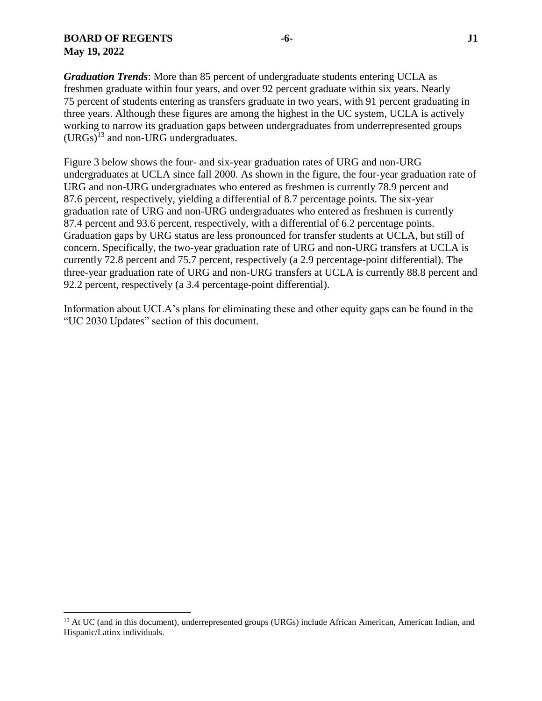$\overline{a}$ 

*Graduation Trends*: More than 85 percent of undergraduate students entering UCLA as freshmen graduate within four years, and over 92 percent graduate within six years. Nearly 75 percent of students entering as transfers graduate in two years, with 91 percent graduating in three years. Although these figures are among the highest in the UC system, UCLA is actively working to narrow its graduation gaps between undergraduates from underrepresented groups  $(URGs)^{13}$  and non-URG undergraduates.

Figure 3 below shows the four- and six-year graduation rates of URG and non-URG undergraduates at UCLA since fall 2000. As shown in the figure, the four-year graduation rate of URG and non-URG undergraduates who entered as freshmen is currently 78.9 percent and 87.6 percent, respectively, yielding a differential of 8.7 percentage points. The six-year graduation rate of URG and non-URG undergraduates who entered as freshmen is currently 87.4 percent and 93.6 percent, respectively, with a differential of 6.2 percentage points. Graduation gaps by URG status are less pronounced for transfer students at UCLA, but still of concern. Specifically, the two-year graduation rate of URG and non-URG transfers at UCLA is currently 72.8 percent and 75.7 percent, respectively (a 2.9 percentage-point differential). The three-year graduation rate of URG and non-URG transfers at UCLA is currently 88.8 percent and 92.2 percent, respectively (a 3.4 percentage-point differential).

Information about UCLA's plans for eliminating these and other equity gaps can be found in the "UC 2030 Updates" section of this document.

<sup>&</sup>lt;sup>13</sup> At UC (and in this document), underrepresented groups (URGs) include African American, American Indian, and Hispanic/Latinx individuals.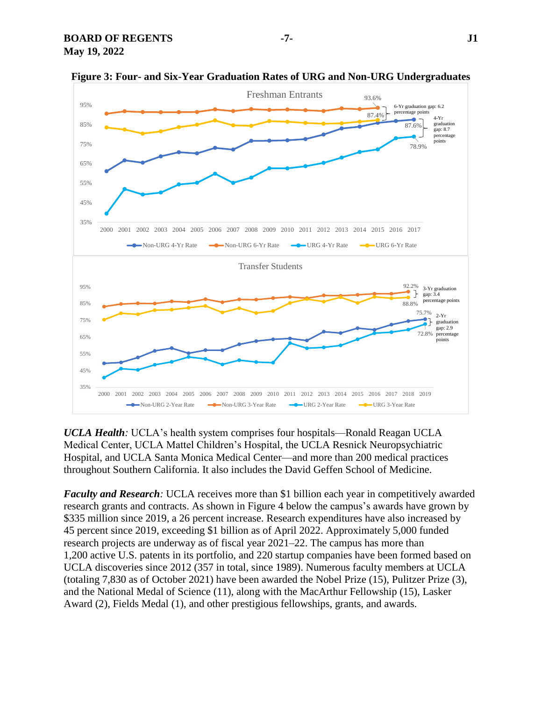

**Figure 3: Four- and Six-Year Graduation Rates of URG and Non-URG Undergraduates**

*UCLA Health:* UCLA's health system comprises four hospitals—Ronald Reagan UCLA Medical Center, UCLA Mattel Children's Hospital, the UCLA Resnick Neuropsychiatric Hospital, and UCLA Santa Monica Medical Center—and more than 200 medical practices throughout Southern California. It also includes the David Geffen School of Medicine.

*Faculty and Research*: UCLA receives more than \$1 billion each year in competitively awarded research grants and contracts. As shown in Figure 4 below the campus's awards have grown by \$335 million since 2019, a 26 percent increase. Research expenditures have also increased by 45 percent since 2019, exceeding \$1 billion as of April 2022. Approximately 5,000 funded research projects are underway as of fiscal year 2021–22. The campus has more than 1,200 active U.S. patents in its portfolio, and 220 startup companies have been formed based on UCLA discoveries since 2012 (357 in total, since 1989). Numerous faculty members at UCLA (totaling 7,830 as of October 2021) have been awarded the Nobel Prize (15), Pulitzer Prize (3), and the National Medal of Science (11), along with the MacArthur Fellowship (15), Lasker Award (2), Fields Medal (1), and other prestigious fellowships, grants, and awards.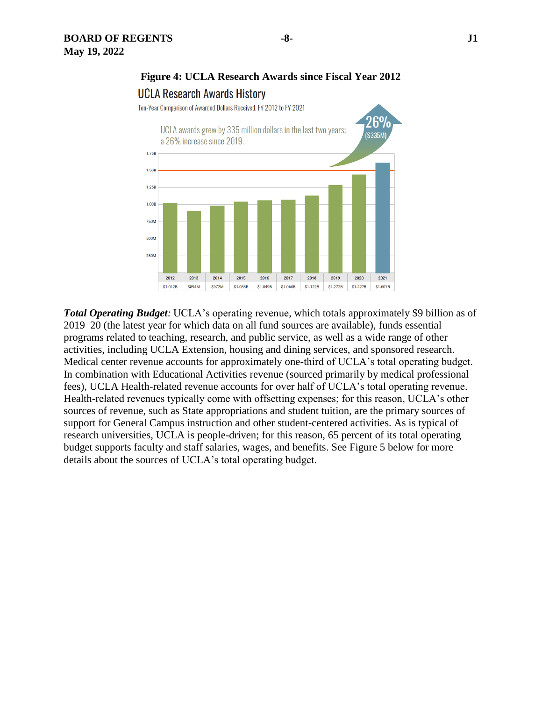

Ten-Year Comparison of Awarded Dollars Received, FY 2012 to FY 2021



*Total Operating Budget:* UCLA's operating revenue, which totals approximately \$9 billion as of 2019–20 (the latest year for which data on all fund sources are available), funds essential programs related to teaching, research, and public service, as well as a wide range of other activities, including UCLA Extension, housing and dining services, and sponsored research. Medical center revenue accounts for approximately one-third of UCLA's total operating budget. In combination with Educational Activities revenue (sourced primarily by medical professional fees), UCLA Health-related revenue accounts for over half of UCLA's total operating revenue. Health-related revenues typically come with offsetting expenses; for this reason, UCLA's other sources of revenue, such as State appropriations and student tuition, are the primary sources of support for General Campus instruction and other student-centered activities. As is typical of research universities, UCLA is people-driven; for this reason, 65 percent of its total operating budget supports faculty and staff salaries, wages, and benefits. See Figure 5 below for more details about the sources of UCLA's total operating budget.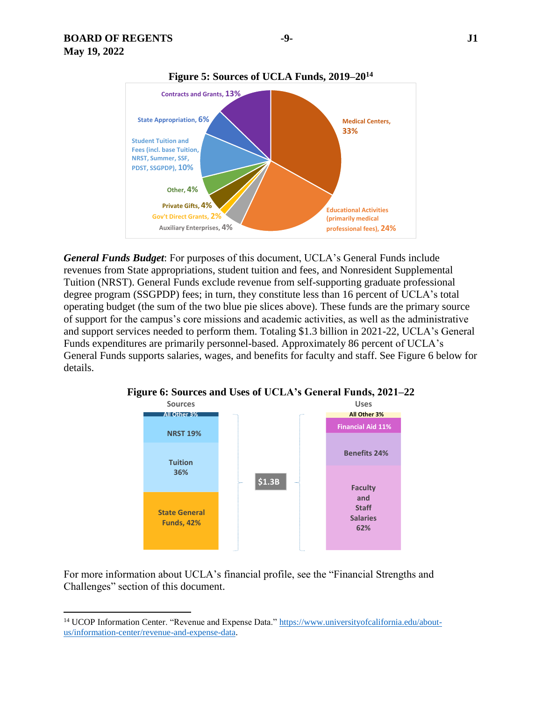$\overline{a}$ 



*General Funds Budget*: For purposes of this document, UCLA's General Funds include revenues from State appropriations, student tuition and fees, and Nonresident Supplemental Tuition (NRST). General Funds exclude revenue from self-supporting graduate professional degree program (SSGPDP) fees; in turn, they constitute less than 16 percent of UCLA's total operating budget (the sum of the two blue pie slices above). These funds are the primary source of support for the campus's core missions and academic activities, as well as the administrative and support services needed to perform them. Totaling \$1.3 billion in 2021-22, UCLA's General Funds expenditures are primarily personnel-based. Approximately 86 percent of UCLA's General Funds supports salaries, wages, and benefits for faculty and staff. See Figure 6 below for details.



**Figure 6: Sources and Uses of UCLA's General Funds, 2021–22**

For more information about UCLA's financial profile, see the "Financial Strengths and Challenges" section of this document.

<sup>&</sup>lt;sup>14</sup> UCOP Information Center. "Revenue and Expense Data." [https://www.universityofcalifornia.edu/about](https://www.universityofcalifornia.edu/about-us/information-center/revenue-and-expense-data)[us/information-center/revenue-and-expense-data.](https://www.universityofcalifornia.edu/about-us/information-center/revenue-and-expense-data)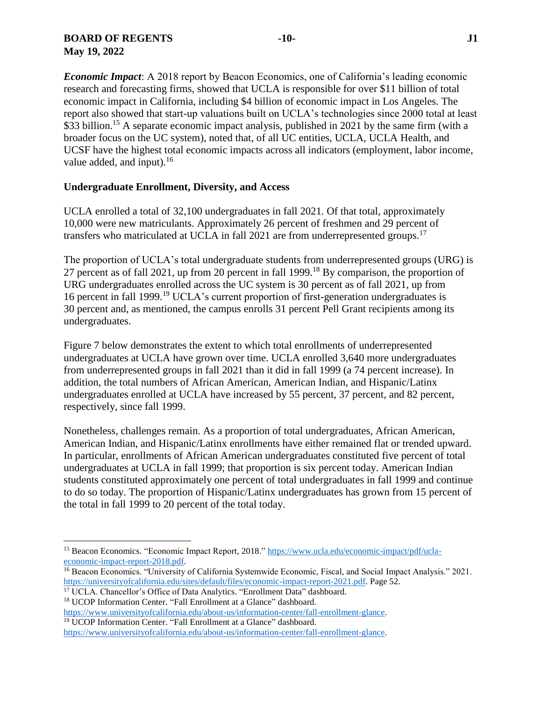# **BOARD OF REGENTS -10- J1 May 19, 2022**

*Economic Impact*: A 2018 report by Beacon Economics, one of California's leading economic research and forecasting firms, showed that UCLA is responsible for over \$11 billion of total economic impact in California, including \$4 billion of economic impact in Los Angeles. The report also showed that start-up valuations built on UCLA's technologies since 2000 total at least \$33 billion.<sup>15</sup> A separate economic impact analysis, published in 2021 by the same firm (with a broader focus on the UC system), noted that, of all UC entities, UCLA, UCLA Health, and UCSF have the highest total economic impacts across all indicators (employment, labor income, value added, and input). $^{16}$ 

# **Undergraduate Enrollment, Diversity, and Access**

UCLA enrolled a total of 32,100 undergraduates in fall 2021. Of that total, approximately 10,000 were new matriculants. Approximately 26 percent of freshmen and 29 percent of transfers who matriculated at UCLA in fall 2021 are from underrepresented groups.<sup>17</sup>

The proportion of UCLA's total undergraduate students from underrepresented groups (URG) is 27 percent as of fall 2021, up from 20 percent in fall 1999.<sup>18</sup> By comparison, the proportion of URG undergraduates enrolled across the UC system is 30 percent as of fall 2021, up from 16 percent in fall 1999.<sup>19</sup> UCLA's current proportion of first-generation undergraduates is 30 percent and, as mentioned, the campus enrolls 31 percent Pell Grant recipients among its undergraduates.

Figure 7 below demonstrates the extent to which total enrollments of underrepresented undergraduates at UCLA have grown over time. UCLA enrolled 3,640 more undergraduates from underrepresented groups in fall 2021 than it did in fall 1999 (a 74 percent increase). In addition, the total numbers of African American, American Indian, and Hispanic/Latinx undergraduates enrolled at UCLA have increased by 55 percent, 37 percent, and 82 percent, respectively, since fall 1999.

Nonetheless, challenges remain. As a proportion of total undergraduates, African American, American Indian, and Hispanic/Latinx enrollments have either remained flat or trended upward. In particular, enrollments of African American undergraduates constituted five percent of total undergraduates at UCLA in fall 1999; that proportion is six percent today. American Indian students constituted approximately one percent of total undergraduates in fall 1999 and continue to do so today. The proportion of Hispanic/Latinx undergraduates has grown from 15 percent of the total in fall 1999 to 20 percent of the total today.

<sup>19</sup> UCOP Information Center. "Fall Enrollment at a Glance" dashboard.

 $\overline{\phantom{a}}$ 

<sup>15</sup> Beacon Economics. "Economic Impact Report, 2018." [https://www.ucla.edu/economic-impact/pdf/ucla](https://www.ucla.edu/economic-impact/pdf/ucla-economic-impact-report-2018.pdf)[economic-impact-report-2018.pdf.](https://www.ucla.edu/economic-impact/pdf/ucla-economic-impact-report-2018.pdf)

<sup>&</sup>lt;sup>16</sup> Beacon Economics. "University of California Systemwide Economic, Fiscal, and Social Impact Analysis." 2021. [https://universityofcalifornia.edu/sites/default/files/economic-impact-report-2021.pdf.](https://universityofcalifornia.edu/sites/default/files/economic-impact-report-2021.pdf) Page 52.

<sup>&</sup>lt;sup>17</sup> UCLA. Chancellor's Office of Data Analytics. "Enrollment Data" dashboard. <sup>18</sup> UCOP Information Center. "Fall Enrollment at a Glance" dashboard.

[https://www.universityofcalifornia.edu/about-us/information-center/fall-enrollment-glance.](https://www.universityofcalifornia.edu/about-us/information-center/fall-enrollment-glance)

[https://www.universityofcalifornia.edu/about-us/information-center/fall-enrollment-glance.](https://www.universityofcalifornia.edu/about-us/information-center/fall-enrollment-glance)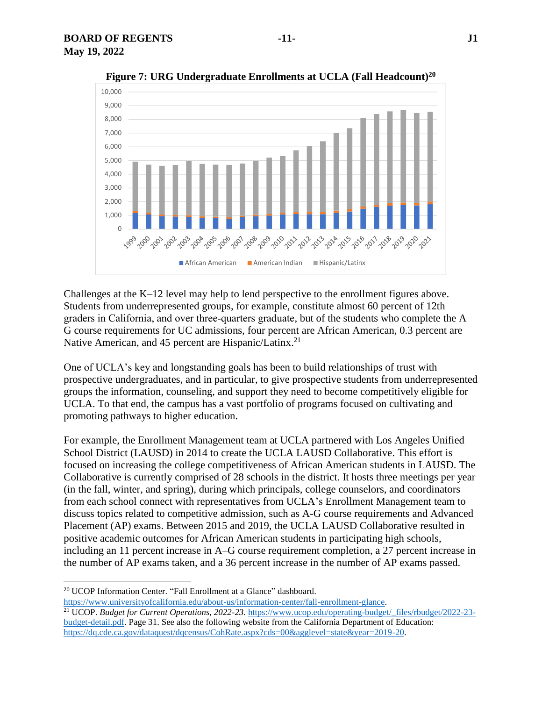

**Figure 7: URG Undergraduate Enrollments at UCLA (Fall Headcount)<sup>20</sup>**

Challenges at the K–12 level may help to lend perspective to the enrollment figures above. Students from underrepresented groups, for example, constitute almost 60 percent of 12th graders in California, and over three‐quarters graduate, but of the students who complete the A– G course requirements for UC admissions, four percent are African American, 0.3 percent are Native American, and 45 percent are Hispanic/Latinx.<sup>21</sup>

One of UCLA's key and longstanding goals has been to build relationships of trust with prospective undergraduates, and in particular, to give prospective students from underrepresented groups the information, counseling, and support they need to become competitively eligible for UCLA. To that end, the campus has a vast portfolio of programs focused on cultivating and promoting pathways to higher education.

For example, the Enrollment Management team at UCLA partnered with Los Angeles Unified School District (LAUSD) in 2014 to create the UCLA LAUSD Collaborative. This effort is focused on increasing the college competitiveness of African American students in LAUSD. The Collaborative is currently comprised of 28 schools in the district. It hosts three meetings per year (in the fall, winter, and spring), during which principals, college counselors, and coordinators from each school connect with representatives from UCLA's Enrollment Management team to discuss topics related to competitive admission, such as A-G course requirements and Advanced Placement (AP) exams. Between 2015 and 2019, the UCLA LAUSD Collaborative resulted in positive academic outcomes for African American students in participating high schools, including an 11 percent increase in A–G course requirement completion, a 27 percent increase in the number of AP exams taken, and a 36 percent increase in the number of AP exams passed.

l

[https://www.universityofcalifornia.edu/about-us/information-center/fall-enrollment-glance.](https://www.universityofcalifornia.edu/about-us/information-center/fall-enrollment-glance)

<sup>20</sup> UCOP Information Center. "Fall Enrollment at a Glance" dashboard.

<sup>21</sup> UCOP. *Budget for Current Operations, 2022-23.* [https://www.ucop.edu/operating-budget/\\_files/rbudget/2022-23](https://www.ucop.edu/operating-budget/_files/rbudget/2022-23-budget-detail.pdf) [budget-detail.pdf.](https://www.ucop.edu/operating-budget/_files/rbudget/2022-23-budget-detail.pdf) Page 31. See also the following website from the California Department of Education: [https://dq.cde.ca.gov/dataquest/dqcensus/CohRate.aspx?cds=00&agglevel=state&year=2019-20.](https://dq.cde.ca.gov/dataquest/dqcensus/CohRate.aspx?cds=00&agglevel=state&year=2019-20)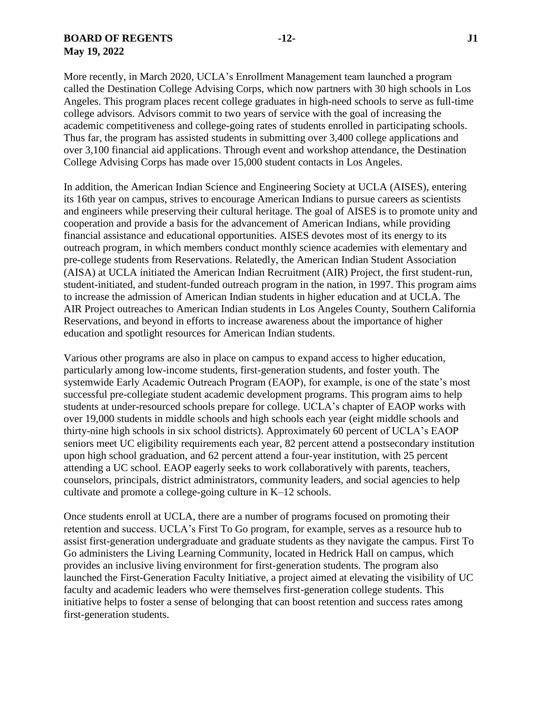#### **BOARD OF REGENTS -12- J1 May 19, 2022**

More recently, in March 2020, UCLA's Enrollment Management team launched a program called the Destination College Advising Corps, which now partners with 30 high schools in Los Angeles. This program places recent college graduates in high-need schools to serve as full-time college advisors. Advisors commit to two years of service with the goal of increasing the academic competitiveness and college-going rates of students enrolled in participating schools. Thus far, the program has assisted students in submitting over 3,400 college applications and over 3,100 financial aid applications. Through event and workshop attendance, the Destination College Advising Corps has made over 15,000 student contacts in Los Angeles.

In addition, the American Indian Science and Engineering Society at UCLA (AISES), entering its 16th year on campus, strives to encourage American Indians to pursue careers as scientists and engineers while preserving their cultural heritage. The goal of AISES is to promote unity and cooperation and provide a basis for the advancement of American Indians, while providing financial assistance and educational opportunities. AISES devotes most of its energy to its outreach program, in which members conduct monthly science academies with elementary and pre-college students from Reservations. Relatedly, the American Indian Student Association (AISA) at UCLA initiated the American Indian Recruitment (AIR) Project, the first student-run, student-initiated, and student-funded outreach program in the nation, in 1997. This program aims to increase the admission of American Indian students in higher education and at UCLA. The AIR Project outreaches to American Indian students in Los Angeles County, Southern California Reservations, and beyond in efforts to increase awareness about the importance of higher education and spotlight resources for American Indian students.

Various other programs are also in place on campus to expand access to higher education, particularly among low-income students, first-generation students, and foster youth. The systemwide Early Academic Outreach Program (EAOP), for example, is one of the state's most successful pre-collegiate student academic development programs. This program aims to help students at under-resourced schools prepare for college. UCLA's chapter of EAOP works with over 19,000 students in middle schools and high schools each year (eight middle schools and thirty-nine high schools in six school districts). Approximately 60 percent of UCLA's EAOP seniors meet UC eligibility requirements each year, 82 percent attend a postsecondary institution upon high school graduation, and 62 percent attend a four-year institution, with 25 percent attending a UC school. EAOP eagerly seeks to work collaboratively with parents, teachers, counselors, principals, district administrators, community leaders, and social agencies to help cultivate and promote a college-going culture in K–12 schools.

Once students enroll at UCLA, there are a number of programs focused on promoting their retention and success. UCLA's First To Go program, for example, serves as a resource hub to assist first-generation undergraduate and graduate students as they navigate the campus. First To Go administers the Living Learning Community, located in Hedrick Hall on campus, which provides an inclusive living environment for first-generation students. The program also launched the First-Generation Faculty Initiative, a project aimed at elevating the visibility of UC faculty and academic leaders who were themselves first-generation college students. This initiative helps to foster a sense of belonging that can boost retention and success rates among first-generation students.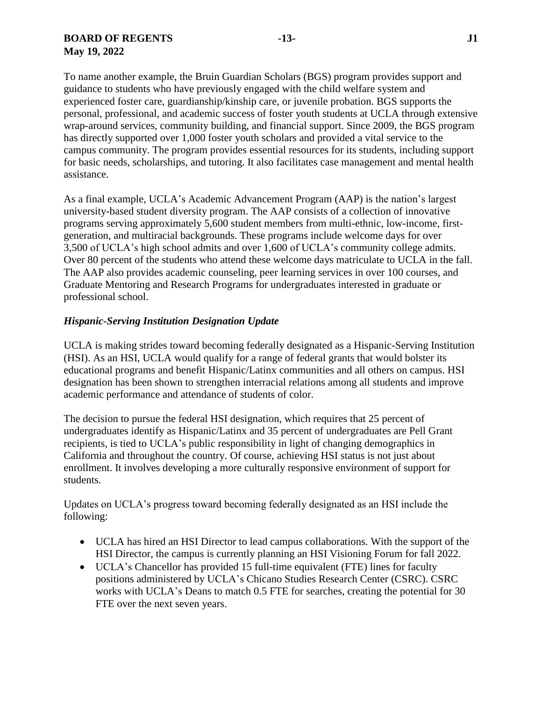To name another example, the Bruin Guardian Scholars (BGS) program provides support and guidance to students who have previously engaged with the child welfare system and experienced foster care, guardianship/kinship care, or juvenile probation. BGS supports the personal, professional, and academic success of foster youth students at UCLA through extensive wrap-around services, community building, and financial support. Since 2009, the BGS program has directly supported over 1,000 foster youth scholars and provided a vital service to the campus community. The program provides essential resources for its students, including support for basic needs, scholarships, and tutoring. It also facilitates case management and mental health assistance.

As a final example, UCLA's Academic Advancement Program (AAP) is the nation's largest university-based student diversity program. The AAP consists of a collection of innovative programs serving approximately 5,600 student members from multi-ethnic, low-income, firstgeneration, and multiracial backgrounds. These programs include welcome days for over 3,500 of UCLA's high school admits and over 1,600 of UCLA's community college admits. Over 80 percent of the students who attend these welcome days matriculate to UCLA in the fall. The AAP also provides academic counseling, peer learning services in over 100 courses, and Graduate Mentoring and Research Programs for undergraduates interested in graduate or professional school.

#### *Hispanic-Serving Institution Designation Update*

UCLA is making strides toward becoming federally designated as a Hispanic-Serving Institution (HSI). As an HSI, UCLA would qualify for a range of federal grants that would bolster its educational programs and benefit Hispanic/Latinx communities and all others on campus. HSI designation has been shown to strengthen interracial relations among all students and improve academic performance and attendance of students of color.

The decision to pursue the federal HSI designation, which requires that 25 percent of undergraduates identify as Hispanic/Latinx and 35 percent of undergraduates are Pell Grant recipients, is tied to UCLA's public responsibility in light of changing demographics in California and throughout the country. Of course, achieving HSI status is not just about enrollment. It involves developing a more culturally responsive environment of support for students.

Updates on UCLA's progress toward becoming federally designated as an HSI include the following:

- UCLA has hired an HSI Director to lead campus collaborations. With the support of the HSI Director, the campus is currently planning an HSI Visioning Forum for fall 2022.
- UCLA's Chancellor has provided 15 full-time equivalent (FTE) lines for faculty positions administered by UCLA's Chicano Studies Research Center (CSRC). CSRC works with UCLA's Deans to match 0.5 FTE for searches, creating the potential for 30 FTE over the next seven years.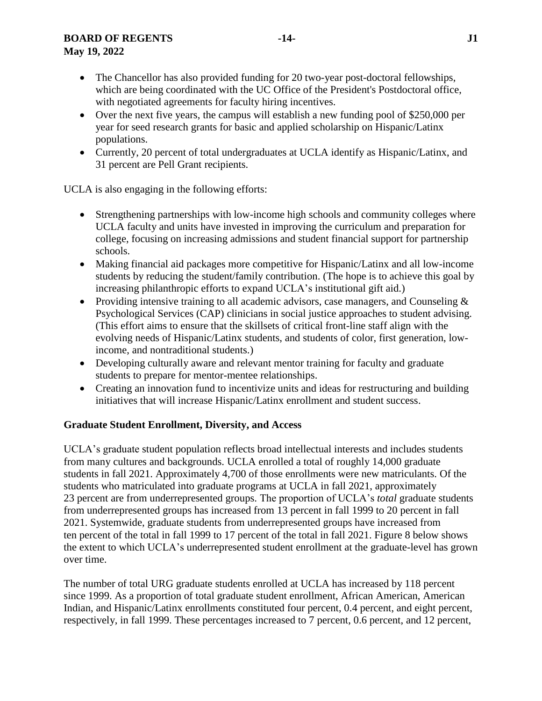# **BOARD OF REGENTS -14- J1**

# **May 19, 2022**

- The Chancellor has also provided funding for 20 two-year post-doctoral fellowships, which are being coordinated with the UC Office of the President's Postdoctoral office, with negotiated agreements for faculty hiring incentives.
- Over the next five years, the campus will establish a new funding pool of \$250,000 per year for seed research grants for basic and applied scholarship on Hispanic/Latinx populations.
- Currently, 20 percent of total undergraduates at UCLA identify as Hispanic/Latinx, and 31 percent are Pell Grant recipients.

UCLA is also engaging in the following efforts:

- Strengthening partnerships with low-income high schools and community colleges where UCLA faculty and units have invested in improving the curriculum and preparation for college, focusing on increasing admissions and student financial support for partnership schools.
- Making financial aid packages more competitive for Hispanic/Latinx and all low-income students by reducing the student/family contribution. (The hope is to achieve this goal by increasing philanthropic efforts to expand UCLA's institutional gift aid.)
- Providing intensive training to all academic advisors, case managers, and Counseling & Psychological Services (CAP) clinicians in social justice approaches to student advising. (This effort aims to ensure that the skillsets of critical front-line staff align with the evolving needs of Hispanic/Latinx students, and students of color, first generation, lowincome, and nontraditional students.)
- Developing culturally aware and relevant mentor training for faculty and graduate students to prepare for mentor-mentee relationships.
- Creating an innovation fund to incentivize units and ideas for restructuring and building initiatives that will increase Hispanic/Latinx enrollment and student success.

# **Graduate Student Enrollment, Diversity, and Access**

UCLA's graduate student population reflects broad intellectual interests and includes students from many cultures and backgrounds. UCLA enrolled a total of roughly 14,000 graduate students in fall 2021. Approximately 4,700 of those enrollments were new matriculants. Of the students who matriculated into graduate programs at UCLA in fall 2021, approximately 23 percent are from underrepresented groups. The proportion of UCLA's *total* graduate students from underrepresented groups has increased from 13 percent in fall 1999 to 20 percent in fall 2021. Systemwide, graduate students from underrepresented groups have increased from ten percent of the total in fall 1999 to 17 percent of the total in fall 2021. Figure 8 below shows the extent to which UCLA's underrepresented student enrollment at the graduate-level has grown over time.

The number of total URG graduate students enrolled at UCLA has increased by 118 percent since 1999. As a proportion of total graduate student enrollment, African American, American Indian, and Hispanic/Latinx enrollments constituted four percent, 0.4 percent, and eight percent, respectively, in fall 1999. These percentages increased to 7 percent, 0.6 percent, and 12 percent,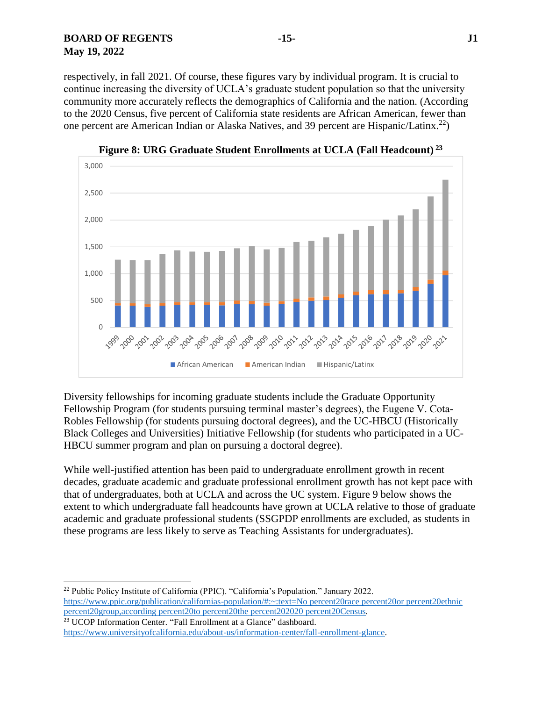**BOARD OF REGENTS -15- J1 May 19, 2022**

l

respectively, in fall 2021. Of course, these figures vary by individual program. It is crucial to continue increasing the diversity of UCLA's graduate student population so that the university community more accurately reflects the demographics of California and the nation. (According to the 2020 Census, five percent of California state residents are African American, fewer than one percent are American Indian or Alaska Natives, and 39 percent are Hispanic/Latinx.<sup>22</sup>)



**Figure 8: URG Graduate Student Enrollments at UCLA (Fall Headcount) <sup>23</sup>**

Diversity fellowships for incoming graduate students include the Graduate Opportunity Fellowship Program (for students pursuing terminal master's degrees), the Eugene V. Cota-Robles Fellowship (for students pursuing doctoral degrees), and the UC-HBCU (Historically Black Colleges and Universities) Initiative Fellowship (for students who participated in a UC-HBCU summer program and plan on pursuing a doctoral degree).

While well-justified attention has been paid to undergraduate enrollment growth in recent decades, graduate academic and graduate professional enrollment growth has not kept pace with that of undergraduates, both at UCLA and across the UC system. Figure 9 below shows the extent to which undergraduate fall headcounts have grown at UCLA relative to those of graduate academic and graduate professional students (SSGPDP enrollments are excluded, as students in these programs are less likely to serve as Teaching Assistants for undergraduates).

<sup>22</sup> Public Policy Institute of California (PPIC). "California's Population." January 2022. [https://www.ppic.org/publication/californias-population/#:~:text=No](https://www.ppic.org/publication/californias-population/#:~:text=No%20race%20or%20ethnic%20group,according%20to%20the%202020%20Census) percent20race percent20or percent20ethnic [percent20group,according](https://www.ppic.org/publication/californias-population/#:~:text=No%20race%20or%20ethnic%20group,according%20to%20the%202020%20Census) percent20to percent20the percent202020 percent20Census. <sup>23</sup> UCOP Information Center. "Fall Enrollment at a Glance" dashboard.

[https://www.universityofcalifornia.edu/about-us/information-center/fall-enrollment-glance.](https://www.universityofcalifornia.edu/about-us/information-center/fall-enrollment-glance)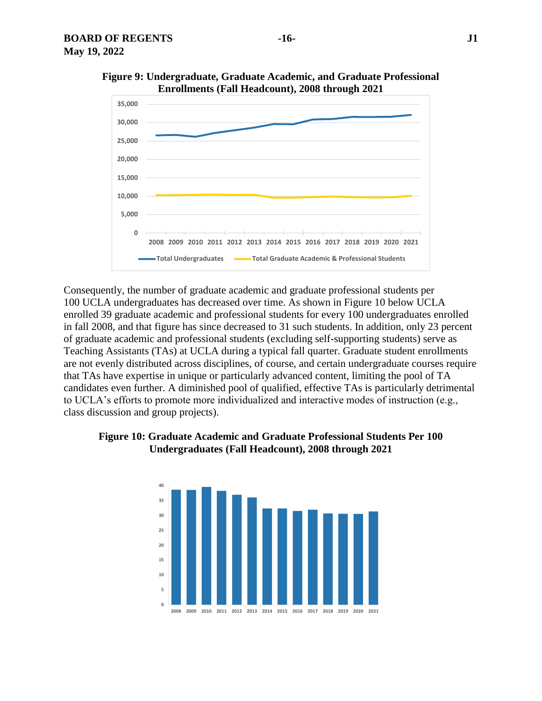

**Figure 9: Undergraduate, Graduate Academic, and Graduate Professional Enrollments (Fall Headcount), 2008 through 2021**

Consequently, the number of graduate academic and graduate professional students per 100 UCLA undergraduates has decreased over time. As shown in Figure 10 below UCLA enrolled 39 graduate academic and professional students for every 100 undergraduates enrolled in fall 2008, and that figure has since decreased to 31 such students. In addition, only 23 percent of graduate academic and professional students (excluding self-supporting students) serve as Teaching Assistants (TAs) at UCLA during a typical fall quarter. Graduate student enrollments are not evenly distributed across disciplines, of course, and certain undergraduate courses require that TAs have expertise in unique or particularly advanced content, limiting the pool of TA candidates even further. A diminished pool of qualified, effective TAs is particularly detrimental to UCLA's efforts to promote more individualized and interactive modes of instruction (e.g., class discussion and group projects).



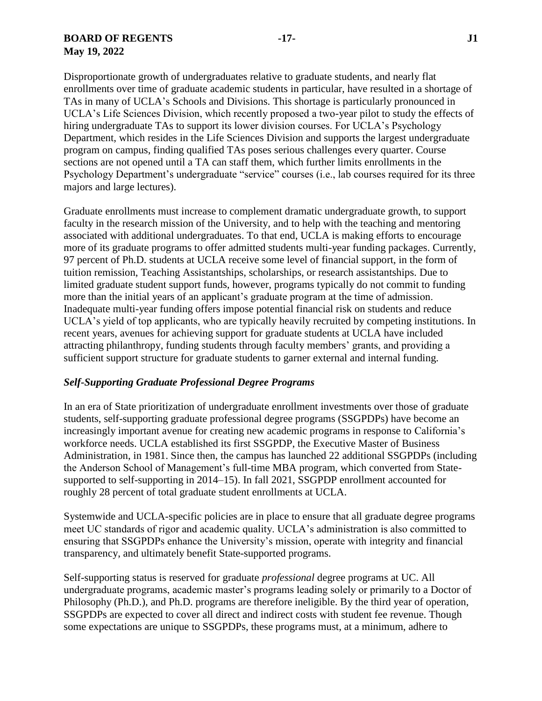#### **BOARD OF REGENTS -17- J1 May 19, 2022**

Disproportionate growth of undergraduates relative to graduate students, and nearly flat enrollments over time of graduate academic students in particular, have resulted in a shortage of TAs in many of UCLA's Schools and Divisions. This shortage is particularly pronounced in UCLA's Life Sciences Division, which recently proposed a two-year pilot to study the effects of hiring undergraduate TAs to support its lower division courses. For UCLA's Psychology Department, which resides in the Life Sciences Division and supports the largest undergraduate program on campus, finding qualified TAs poses serious challenges every quarter. Course sections are not opened until a TA can staff them, which further limits enrollments in the Psychology Department's undergraduate "service" courses (i.e., lab courses required for its three majors and large lectures).

Graduate enrollments must increase to complement dramatic undergraduate growth, to support faculty in the research mission of the University, and to help with the teaching and mentoring associated with additional undergraduates. To that end, UCLA is making efforts to encourage more of its graduate programs to offer admitted students multi-year funding packages. Currently, 97 percent of Ph.D. students at UCLA receive some level of financial support, in the form of tuition remission, Teaching Assistantships, scholarships, or research assistantships. Due to limited graduate student support funds, however, programs typically do not commit to funding more than the initial years of an applicant's graduate program at the time of admission. Inadequate multi-year funding offers impose potential financial risk on students and reduce UCLA's yield of top applicants, who are typically heavily recruited by competing institutions. In recent years, avenues for achieving support for graduate students at UCLA have included attracting philanthropy, funding students through faculty members' grants, and providing a sufficient support structure for graduate students to garner external and internal funding.

# *Self-Supporting Graduate Professional Degree Programs*

In an era of State prioritization of undergraduate enrollment investments over those of graduate students, self-supporting graduate professional degree programs (SSGPDPs) have become an increasingly important avenue for creating new academic programs in response to California's workforce needs. UCLA established its first SSGPDP, the Executive Master of Business Administration, in 1981. Since then, the campus has launched 22 additional SSGPDPs (including the Anderson School of Management's full-time MBA program, which converted from Statesupported to self-supporting in 2014–15). In fall 2021, SSGPDP enrollment accounted for roughly 28 percent of total graduate student enrollments at UCLA.

Systemwide and UCLA-specific policies are in place to ensure that all graduate degree programs meet UC standards of rigor and academic quality. UCLA's administration is also committed to ensuring that SSGPDPs enhance the University's mission, operate with integrity and financial transparency, and ultimately benefit State-supported programs.

Self-supporting status is reserved for graduate *professional* degree programs at UC. All undergraduate programs, academic master's programs leading solely or primarily to a Doctor of Philosophy (Ph.D.), and Ph.D. programs are therefore ineligible. By the third year of operation, SSGPDPs are expected to cover all direct and indirect costs with student fee revenue. Though some expectations are unique to SSGPDPs, these programs must, at a minimum, adhere to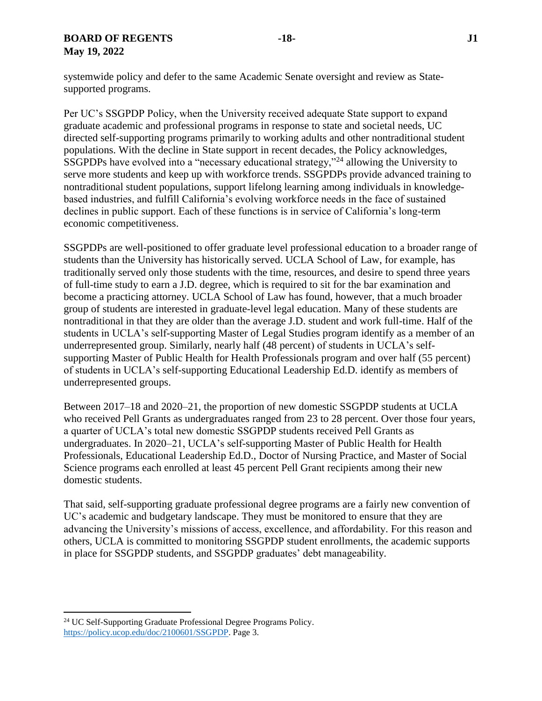systemwide policy and defer to the same Academic Senate oversight and review as Statesupported programs.

Per UC's SSGPDP Policy, when the University received adequate State support to expand graduate academic and professional programs in response to state and societal needs, UC directed self-supporting programs primarily to working adults and other nontraditional student populations. With the decline in State support in recent decades, the Policy acknowledges, SSGPDPs have evolved into a "necessary educational strategy,"<sup>24</sup> allowing the University to serve more students and keep up with workforce trends. SSGPDPs provide advanced training to nontraditional student populations, support lifelong learning among individuals in knowledgebased industries, and fulfill California's evolving workforce needs in the face of sustained declines in public support. Each of these functions is in service of California's long-term economic competitiveness.

SSGPDPs are well-positioned to offer graduate level professional education to a broader range of students than the University has historically served. UCLA School of Law, for example, has traditionally served only those students with the time, resources, and desire to spend three years of full-time study to earn a J.D. degree, which is required to sit for the bar examination and become a practicing attorney. UCLA School of Law has found, however, that a much broader group of students are interested in graduate-level legal education. Many of these students are nontraditional in that they are older than the average J.D. student and work full-time. Half of the students in UCLA's self-supporting Master of Legal Studies program identify as a member of an underrepresented group. Similarly, nearly half (48 percent) of students in UCLA's selfsupporting Master of Public Health for Health Professionals program and over half (55 percent) of students in UCLA's self-supporting Educational Leadership Ed.D. identify as members of underrepresented groups.

Between 2017–18 and 2020–21, the proportion of new domestic SSGPDP students at UCLA who received Pell Grants as undergraduates ranged from 23 to 28 percent. Over those four years, a quarter of UCLA's total new domestic SSGPDP students received Pell Grants as undergraduates. In 2020–21, UCLA's self-supporting Master of Public Health for Health Professionals, Educational Leadership Ed.D., Doctor of Nursing Practice, and Master of Social Science programs each enrolled at least 45 percent Pell Grant recipients among their new domestic students.

That said, self-supporting graduate professional degree programs are a fairly new convention of UC's academic and budgetary landscape. They must be monitored to ensure that they are advancing the University's missions of access, excellence, and affordability. For this reason and others, UCLA is committed to monitoring SSGPDP student enrollments, the academic supports in place for SSGPDP students, and SSGPDP graduates' debt manageability.

 $\overline{a}$ 

<sup>24</sup> UC Self-Supporting Graduate Professional Degree Programs Policy. [https://policy.ucop.edu/doc/2100601/SSGPDP.](https://policy.ucop.edu/doc/2100601/SSGPDP) Page 3.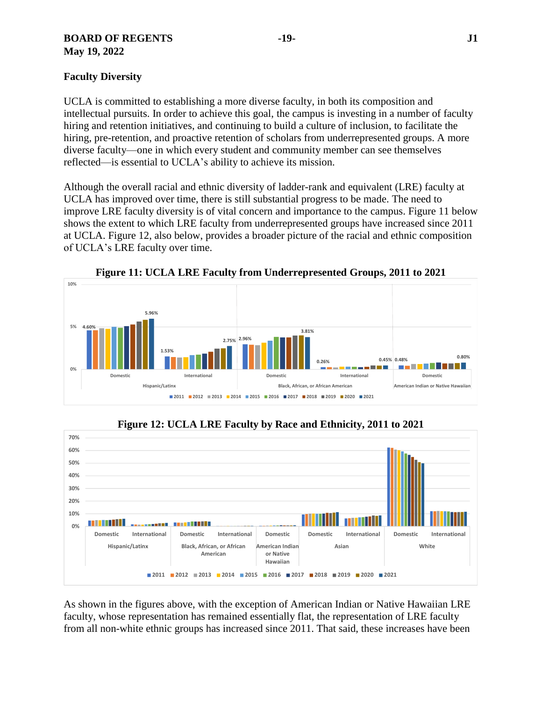# **BOARD OF REGENTS -19- J1 May 19, 2022**

UCLA is committed to establishing a more diverse faculty, in both its composition and intellectual pursuits. In order to achieve this goal, the campus is investing in a number of faculty hiring and retention initiatives, and continuing to build a culture of inclusion, to facilitate the hiring, pre-retention, and proactive retention of scholars from underrepresented groups. A more diverse faculty—one in which every student and community member can see themselves reflected—is essential to UCLA's ability to achieve its mission.

Although the overall racial and ethnic diversity of ladder-rank and equivalent (LRE) faculty at UCLA has improved over time, there is still substantial progress to be made. The need to improve LRE faculty diversity is of vital concern and importance to the campus. Figure 11 below shows the extent to which LRE faculty from underrepresented groups have increased since 2011 at UCLA. Figure 12, also below, provides a broader picture of the racial and ethnic composition of UCLA's LRE faculty over time.



**Figure 11: UCLA LRE Faculty from Underrepresented Groups, 2011 to 2021**



**Figure 12: UCLA LRE Faculty by Race and Ethnicity, 2011 to 2021**

As shown in the figures above, with the exception of American Indian or Native Hawaiian LRE faculty, whose representation has remained essentially flat, the representation of LRE faculty from all non-white ethnic groups has increased since 2011. That said, these increases have been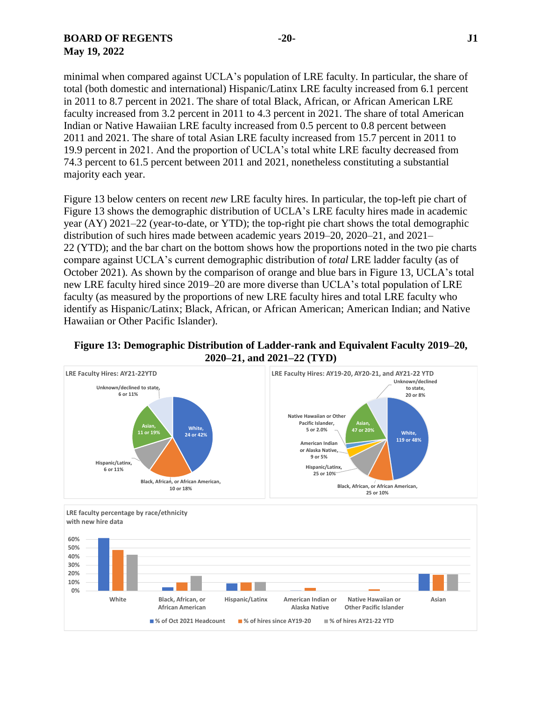# **BOARD OF REGENTS -20- J1 May 19, 2022**

minimal when compared against UCLA's population of LRE faculty. In particular, the share of total (both domestic and international) Hispanic/Latinx LRE faculty increased from 6.1 percent in 2011 to 8.7 percent in 2021. The share of total Black, African, or African American LRE faculty increased from 3.2 percent in 2011 to 4.3 percent in 2021. The share of total American Indian or Native Hawaiian LRE faculty increased from 0.5 percent to 0.8 percent between 2011 and 2021. The share of total Asian LRE faculty increased from 15.7 percent in 2011 to 19.9 percent in 2021. And the proportion of UCLA's total white LRE faculty decreased from 74.3 percent to 61.5 percent between 2011 and 2021, nonetheless constituting a substantial majority each year.

Figure 13 below centers on recent *new* LRE faculty hires. In particular, the top-left pie chart of Figure 13 shows the demographic distribution of UCLA's LRE faculty hires made in academic year (AY) 2021–22 (year-to-date, or YTD); the top-right pie chart shows the total demographic distribution of such hires made between academic years 2019–20, 2020–21, and 2021– 22 (YTD); and the bar chart on the bottom shows how the proportions noted in the two pie charts compare against UCLA's current demographic distribution of *total* LRE ladder faculty (as of October 2021). As shown by the comparison of orange and blue bars in Figure 13, UCLA's total new LRE faculty hired since 2019–20 are more diverse than UCLA's total population of LRE faculty (as measured by the proportions of new LRE faculty hires and total LRE faculty who identify as Hispanic/Latinx; Black, African, or African American; American Indian; and Native Hawaiian or Other Pacific Islander).



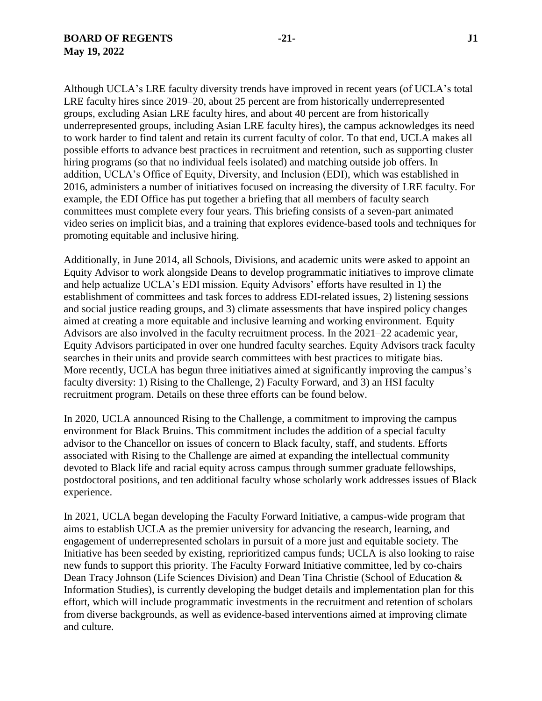Although UCLA's LRE faculty diversity trends have improved in recent years (of UCLA's total LRE faculty hires since 2019–20, about 25 percent are from historically underrepresented groups, excluding Asian LRE faculty hires, and about 40 percent are from historically underrepresented groups, including Asian LRE faculty hires), the campus acknowledges its need to work harder to find talent and retain its current faculty of color. To that end, UCLA makes all possible efforts to advance best practices in recruitment and retention, such as supporting cluster hiring programs (so that no individual feels isolated) and matching outside job offers. In addition, UCLA's Office of Equity, Diversity, and Inclusion (EDI), which was established in 2016, administers a number of initiatives focused on increasing the diversity of LRE faculty. For example, the EDI Office has put together a briefing that all members of faculty search committees must complete every four years. This briefing consists of a seven-part animated video series on implicit bias, and a training that explores evidence-based tools and techniques for promoting equitable and inclusive hiring.

Additionally, in June 2014, all Schools, Divisions, and academic units were asked to appoint an Equity Advisor to work alongside Deans to develop programmatic initiatives to improve climate and help actualize UCLA's EDI mission. Equity Advisors' efforts have resulted in 1) the establishment of committees and task forces to address EDI-related issues, 2) listening sessions and social justice reading groups, and 3) climate assessments that have inspired policy changes aimed at creating a more equitable and inclusive learning and working environment. Equity Advisors are also involved in the faculty recruitment process. In the 2021–22 academic year, Equity Advisors participated in over one hundred faculty searches. Equity Advisors track faculty searches in their units and provide search committees with best practices to mitigate bias. More recently, UCLA has begun three initiatives aimed at significantly improving the campus's faculty diversity: 1) Rising to the Challenge, 2) Faculty Forward, and 3) an HSI faculty recruitment program. Details on these three efforts can be found below.

In 2020, UCLA announced Rising to the Challenge, a commitment to improving the campus environment for Black Bruins. This commitment includes the addition of a special faculty advisor to the Chancellor on issues of concern to Black faculty, staff, and students. Efforts associated with Rising to the Challenge are aimed at expanding the intellectual community devoted to Black life and racial equity across campus through summer graduate fellowships, postdoctoral positions, and ten additional faculty whose scholarly work addresses issues of Black experience.

In 2021, UCLA began developing the Faculty Forward Initiative, a campus-wide program that aims to establish UCLA as the premier university for advancing the research, learning, and engagement of underrepresented scholars in pursuit of a more just and equitable society. The Initiative has been seeded by existing, reprioritized campus funds; UCLA is also looking to raise new funds to support this priority. The Faculty Forward Initiative committee, led by co-chairs Dean Tracy Johnson (Life Sciences Division) and Dean Tina Christie (School of Education & Information Studies), is currently developing the budget details and implementation plan for this effort, which will include programmatic investments in the recruitment and retention of scholars from diverse backgrounds, as well as evidence-based interventions aimed at improving climate and culture.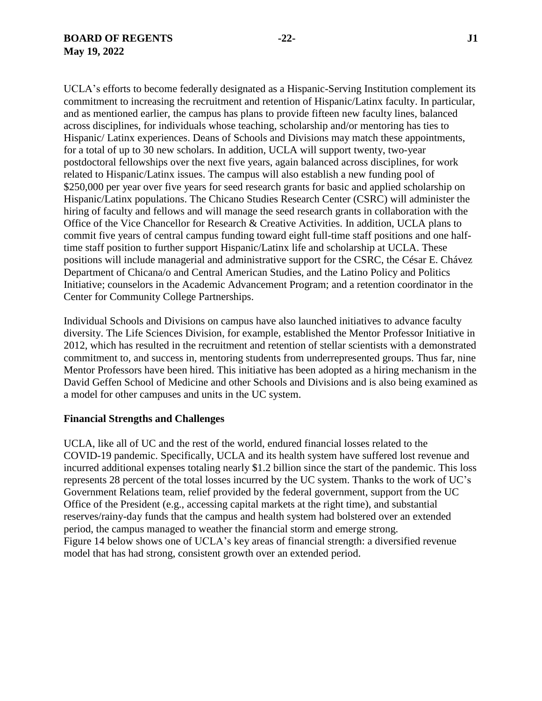UCLA's efforts to become federally designated as a Hispanic-Serving Institution complement its commitment to increasing the recruitment and retention of Hispanic/Latinx faculty. In particular, and as mentioned earlier, the campus has plans to provide fifteen new faculty lines, balanced across disciplines, for individuals whose teaching, scholarship and/or mentoring has ties to Hispanic/ Latinx experiences. Deans of Schools and Divisions may match these appointments, for a total of up to 30 new scholars. In addition, UCLA will support twenty, two-year postdoctoral fellowships over the next five years, again balanced across disciplines, for work related to Hispanic/Latinx issues. The campus will also establish a new funding pool of \$250,000 per year over five years for seed research grants for basic and applied scholarship on Hispanic/Latinx populations. The Chicano Studies Research Center (CSRC) will administer the hiring of faculty and fellows and will manage the seed research grants in collaboration with the Office of the Vice Chancellor for Research & Creative Activities. In addition, UCLA plans to commit five years of central campus funding toward eight full-time staff positions and one halftime staff position to further support Hispanic/Latinx life and scholarship at UCLA. These positions will include managerial and administrative support for the CSRC, the César E. Chávez Department of Chicana/o and Central American Studies, and the Latino Policy and Politics Initiative; counselors in the Academic Advancement Program; and a retention coordinator in the Center for Community College Partnerships.

Individual Schools and Divisions on campus have also launched initiatives to advance faculty diversity. The Life Sciences Division, for example, established the Mentor Professor Initiative in 2012, which has resulted in the recruitment and retention of stellar scientists with a demonstrated commitment to, and success in, mentoring students from underrepresented groups. Thus far, nine Mentor Professors have been hired. This initiative has been adopted as a hiring mechanism in the David Geffen School of Medicine and other Schools and Divisions and is also being examined as a model for other campuses and units in the UC system.

#### **Financial Strengths and Challenges**

UCLA, like all of UC and the rest of the world, endured financial losses related to the COVID-19 pandemic. Specifically, UCLA and its health system have suffered lost revenue and incurred additional expenses totaling nearly \$1.2 billion since the start of the pandemic. This loss represents 28 percent of the total losses incurred by the UC system. Thanks to the work of UC's Government Relations team, relief provided by the federal government, support from the UC Office of the President (e.g., accessing capital markets at the right time), and substantial reserves/rainy-day funds that the campus and health system had bolstered over an extended period, the campus managed to weather the financial storm and emerge strong. Figure 14 below shows one of UCLA's key areas of financial strength: a diversified revenue model that has had strong, consistent growth over an extended period.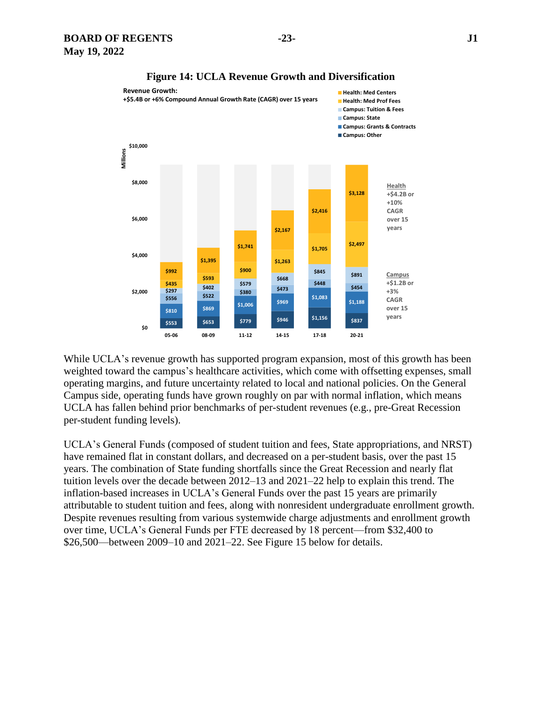

#### **Figure 14: UCLA Revenue Growth and Diversification**

While UCLA's revenue growth has supported program expansion, most of this growth has been weighted toward the campus's healthcare activities, which come with offsetting expenses, small operating margins, and future uncertainty related to local and national policies. On the General Campus side, operating funds have grown roughly on par with normal inflation, which means UCLA has fallen behind prior benchmarks of per-student revenues (e.g., pre-Great Recession per-student funding levels).

UCLA's General Funds (composed of student tuition and fees, State appropriations, and NRST) have remained flat in constant dollars, and decreased on a per-student basis, over the past 15 years. The combination of State funding shortfalls since the Great Recession and nearly flat tuition levels over the decade between 2012–13 and 2021–22 help to explain this trend. The inflation-based increases in UCLA's General Funds over the past 15 years are primarily attributable to student tuition and fees, along with nonresident undergraduate enrollment growth. Despite revenues resulting from various systemwide charge adjustments and enrollment growth over time, UCLA's General Funds per FTE decreased by 18 percent—from \$32,400 to \$26,500—between 2009–10 and 2021–22. See Figure 15 below for details.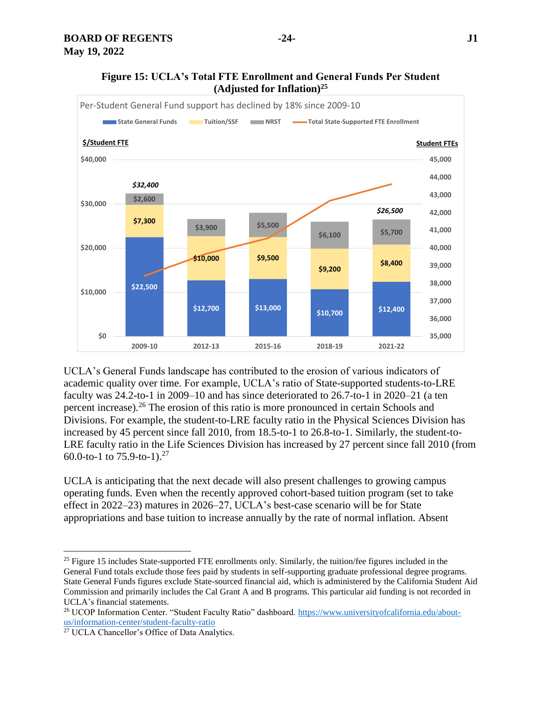

UCLA's General Funds landscape has contributed to the erosion of various indicators of academic quality over time. For example, UCLA's ratio of State-supported students-to-LRE faculty was 24.2-to-1 in 2009–10 and has since deteriorated to 26.7-to-1 in 2020–21 (a ten percent increase). <sup>26</sup> The erosion of this ratio is more pronounced in certain Schools and Divisions. For example, the student-to-LRE faculty ratio in the Physical Sciences Division has increased by 45 percent since fall 2010, from 18.5-to-1 to 26.8-to-1. Similarly, the student-to-LRE faculty ratio in the Life Sciences Division has increased by 27 percent since fall 2010 (from 60.0-to-1 to 75.9-to-1).<sup>27</sup>

UCLA is anticipating that the next decade will also present challenges to growing campus operating funds. Even when the recently approved cohort-based tuition program (set to take effect in 2022–23) matures in 2026–27, UCLA's best-case scenario will be for State appropriations and base tuition to increase annually by the rate of normal inflation. Absent

 $\overline{a}$ 

<sup>&</sup>lt;sup>25</sup> Figure 15 includes State-supported FTE enrollments only. Similarly, the tuition/fee figures included in the General Fund totals exclude those fees paid by students in self-supporting graduate professional degree programs. State General Funds figures exclude State-sourced financial aid, which is administered by the California Student Aid Commission and primarily includes the Cal Grant A and B programs. This particular aid funding is not recorded in UCLA's financial statements.

<sup>&</sup>lt;sup>26</sup> UCOP Information Center. "Student Faculty Ratio" dashboard. [https://www.universityofcalifornia.edu/about](https://www.universityofcalifornia.edu/about-us/information-center/student-faculty-ratio)[us/information-center/student-faculty-ratio](https://www.universityofcalifornia.edu/about-us/information-center/student-faculty-ratio)

<sup>27</sup> UCLA Chancellor's Office of Data Analytics.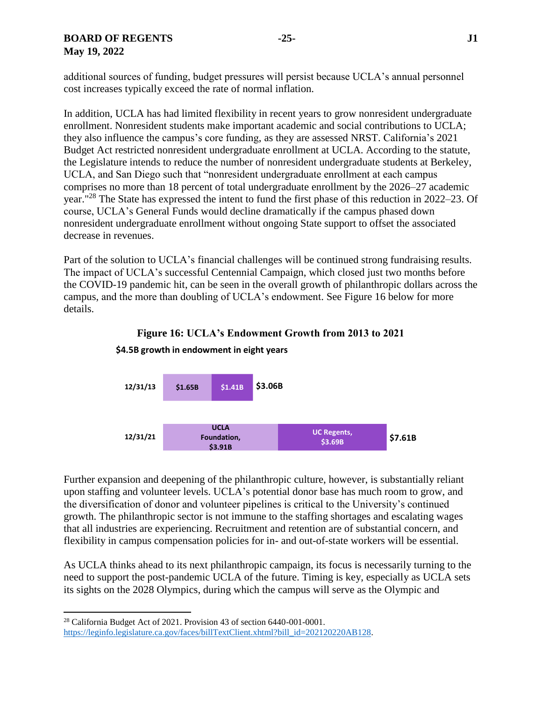additional sources of funding, budget pressures will persist because UCLA's annual personnel cost increases typically exceed the rate of normal inflation.

In addition, UCLA has had limited flexibility in recent years to grow nonresident undergraduate enrollment. Nonresident students make important academic and social contributions to UCLA; they also influence the campus's core funding, as they are assessed NRST. California's 2021 Budget Act restricted nonresident undergraduate enrollment at UCLA. According to the statute, the Legislature intends to reduce the number of nonresident undergraduate students at Berkeley, UCLA, and San Diego such that "nonresident undergraduate enrollment at each campus comprises no more than 18 percent of total undergraduate enrollment by the 2026–27 academic year."<sup>28</sup> The State has expressed the intent to fund the first phase of this reduction in 2022–23. Of course, UCLA's General Funds would decline dramatically if the campus phased down nonresident undergraduate enrollment without ongoing State support to offset the associated decrease in revenues.

Part of the solution to UCLA's financial challenges will be continued strong fundraising results. The impact of UCLA's successful Centennial Campaign, which closed just two months before the COVID-19 pandemic hit, can be seen in the overall growth of philanthropic dollars across the campus, and the more than doubling of UCLA's endowment. See Figure 16 below for more details.





**\$4.5B growth in endowment in eight years**

Further expansion and deepening of the philanthropic culture, however, is substantially reliant upon staffing and volunteer levels. UCLA's potential donor base has much room to grow, and the diversification of donor and volunteer pipelines is critical to the University's continued growth. The philanthropic sector is not immune to the staffing shortages and escalating wages that all industries are experiencing. Recruitment and retention are of substantial concern, and flexibility in campus compensation policies for in- and out-of-state workers will be essential.

As UCLA thinks ahead to its next philanthropic campaign, its focus is necessarily turning to the need to support the post-pandemic UCLA of the future. Timing is key, especially as UCLA sets its sights on the 2028 Olympics, during which the campus will serve as the Olympic and

 $\overline{a}$ 

<sup>28</sup> California Budget Act of 2021. Provision 43 of section 6440-001-0001. [https://leginfo.legislature.ca.gov/faces/billTextClient.xhtml?bill\\_id=202120220AB128.](https://leginfo.legislature.ca.gov/faces/billTextClient.xhtml?bill_id=202120220AB128)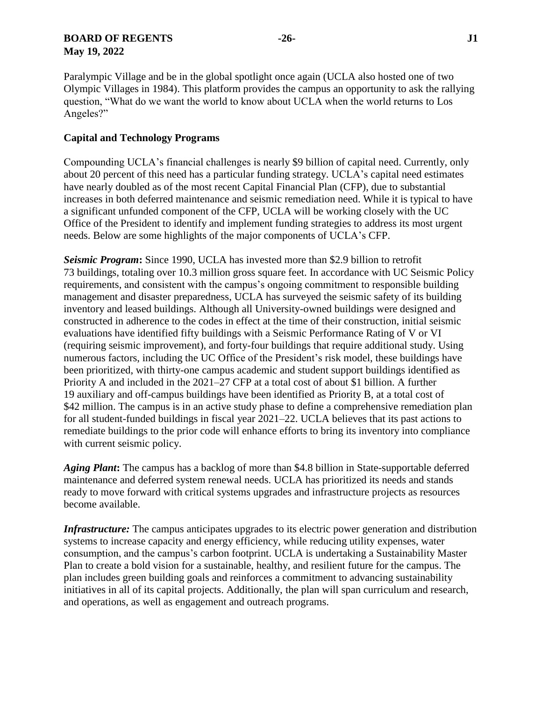# **BOARD OF REGENTS -26- J1 May 19, 2022**

Paralympic Village and be in the global spotlight once again (UCLA also hosted one of two Olympic Villages in 1984). This platform provides the campus an opportunity to ask the rallying question, "What do we want the world to know about UCLA when the world returns to Los Angeles?"

## **Capital and Technology Programs**

Compounding UCLA's financial challenges is nearly \$9 billion of capital need. Currently, only about 20 percent of this need has a particular funding strategy. UCLA's capital need estimates have nearly doubled as of the most recent Capital Financial Plan (CFP), due to substantial increases in both deferred maintenance and seismic remediation need. While it is typical to have a significant unfunded component of the CFP, UCLA will be working closely with the UC Office of the President to identify and implement funding strategies to address its most urgent needs. Below are some highlights of the major components of UCLA's CFP.

*Seismic Program***:** Since 1990, UCLA has invested more than \$2.9 billion to retrofit 73 buildings, totaling over 10.3 million gross square feet. In accordance with UC Seismic Policy requirements, and consistent with the campus's ongoing commitment to responsible building management and disaster preparedness, UCLA has surveyed the seismic safety of its building inventory and leased buildings. Although all University-owned buildings were designed and constructed in adherence to the codes in effect at the time of their construction, initial seismic evaluations have identified fifty buildings with a Seismic Performance Rating of V or VI (requiring seismic improvement), and forty-four buildings that require additional study. Using numerous factors, including the UC Office of the President's risk model, these buildings have been prioritized, with thirty-one campus academic and student support buildings identified as Priority A and included in the 2021–27 CFP at a total cost of about \$1 billion. A further 19 auxiliary and off-campus buildings have been identified as Priority B, at a total cost of \$42 million. The campus is in an active study phase to define a comprehensive remediation plan for all student-funded buildings in fiscal year 2021–22. UCLA believes that its past actions to remediate buildings to the prior code will enhance efforts to bring its inventory into compliance with current seismic policy.

*Aging Plant***:** The campus has a backlog of more than \$4.8 billion in State-supportable deferred maintenance and deferred system renewal needs. UCLA has prioritized its needs and stands ready to move forward with critical systems upgrades and infrastructure projects as resources become available.

*Infrastructure:* The campus anticipates upgrades to its electric power generation and distribution systems to increase capacity and energy efficiency, while reducing utility expenses, water consumption, and the campus's carbon footprint. UCLA is undertaking a Sustainability Master Plan to create a bold vision for a sustainable, healthy, and resilient future for the campus. The plan includes green building goals and reinforces a commitment to advancing sustainability initiatives in all of its capital projects. Additionally, the plan will span curriculum and research, and operations, as well as engagement and outreach programs.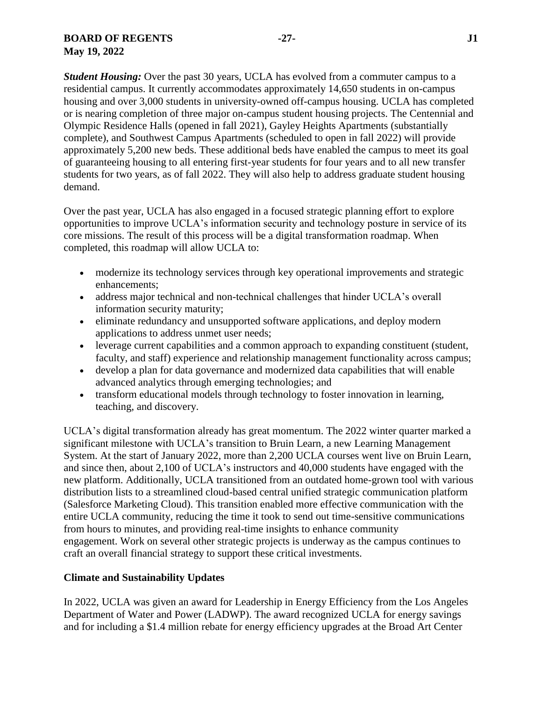*Student Housing:* Over the past 30 years, UCLA has evolved from a commuter campus to a residential campus. It currently accommodates approximately 14,650 students in on-campus housing and over 3,000 students in university-owned off-campus housing. UCLA has completed or is nearing completion of three major on-campus student housing projects. The Centennial and Olympic Residence Halls (opened in fall 2021), Gayley Heights Apartments (substantially complete), and Southwest Campus Apartments (scheduled to open in fall 2022) will provide approximately 5,200 new beds. These additional beds have enabled the campus to meet its goal of guaranteeing housing to all entering first-year students for four years and to all new transfer students for two years, as of fall 2022. They will also help to address graduate student housing demand.

Over the past year, UCLA has also engaged in a focused strategic planning effort to explore opportunities to improve UCLA's information security and technology posture in service of its core missions. The result of this process will be a digital transformation roadmap. When completed, this roadmap will allow UCLA to:

- modernize its technology services through key operational improvements and strategic enhancements;
- address major technical and non-technical challenges that hinder UCLA's overall information security maturity;
- eliminate redundancy and unsupported software applications, and deploy modern applications to address unmet user needs;
- leverage current capabilities and a common approach to expanding constituent (student, faculty, and staff) experience and relationship management functionality across campus;
- develop a plan for data governance and modernized data capabilities that will enable advanced analytics through emerging technologies; and
- transform educational models through technology to foster innovation in learning, teaching, and discovery.

UCLA's digital transformation already has great momentum. The 2022 winter quarter marked a significant milestone with UCLA's transition to Bruin Learn, a new Learning Management System. At the start of January 2022, more than 2,200 UCLA courses went live on Bruin Learn, and since then, about 2,100 of UCLA's instructors and 40,000 students have engaged with the new platform. Additionally, UCLA transitioned from an outdated home-grown tool with various distribution lists to a streamlined cloud-based central unified strategic communication platform (Salesforce Marketing Cloud). This transition enabled more effective communication with the entire UCLA community, reducing the time it took to send out time-sensitive communications from hours to minutes, and providing real-time insights to enhance community engagement. Work on several other strategic projects is underway as the campus continues to craft an overall financial strategy to support these critical investments.

# **Climate and Sustainability Updates**

In 2022, UCLA was given an award for Leadership in Energy Efficiency from the Los Angeles Department of Water and Power (LADWP). The award recognized UCLA for energy savings and for including a \$1.4 million rebate for energy efficiency upgrades at the Broad Art Center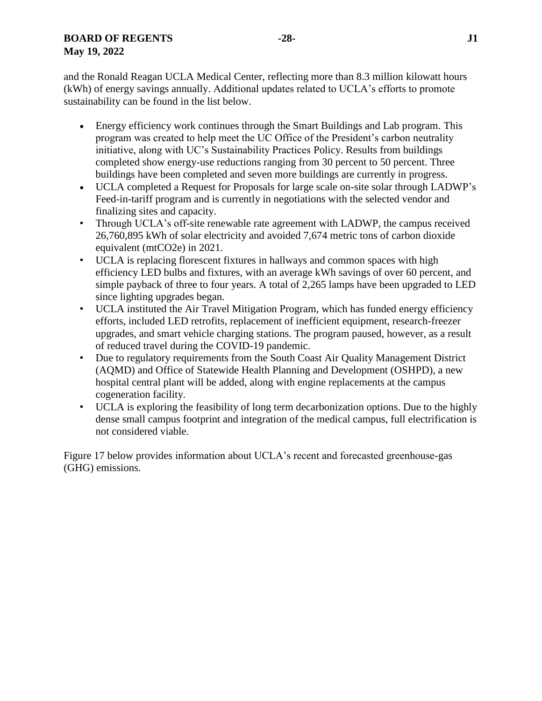and the Ronald Reagan UCLA Medical Center, reflecting more than 8.3 million kilowatt hours (kWh) of energy savings annually. Additional updates related to UCLA's efforts to promote sustainability can be found in the list below.

- Energy efficiency work continues through the Smart Buildings and Lab program. This program was created to help meet the UC Office of the President's carbon neutrality initiative, along with UC's Sustainability Practices Policy. Results from buildings completed show energy-use reductions ranging from 30 percent to 50 percent. Three buildings have been completed and seven more buildings are currently in progress.
- UCLA completed a Request for Proposals for large scale on-site solar through LADWP's Feed-in-tariff program and is currently in negotiations with the selected vendor and finalizing sites and capacity.
- Through UCLA's off-site renewable rate agreement with LADWP, the campus received 26,760,895 kWh of solar electricity and avoided 7,674 metric tons of carbon dioxide equivalent (mtCO2e) in 2021.
- UCLA is replacing florescent fixtures in hallways and common spaces with high efficiency LED bulbs and fixtures, with an average kWh savings of over 60 percent, and simple payback of three to four years. A total of 2,265 lamps have been upgraded to LED since lighting upgrades began.
- UCLA instituted the Air Travel Mitigation Program, which has funded energy efficiency efforts, included LED retrofits, replacement of inefficient equipment, research-freezer upgrades, and smart vehicle charging stations. The program paused, however, as a result of reduced travel during the COVID-19 pandemic.
- Due to regulatory requirements from the South Coast Air Quality Management District (AQMD) and Office of Statewide Health Planning and Development (OSHPD), a new hospital central plant will be added, along with engine replacements at the campus cogeneration facility.
- UCLA is exploring the feasibility of long term decarbonization options. Due to the highly dense small campus footprint and integration of the medical campus, full electrification is not considered viable.

Figure 17 below provides information about UCLA's recent and forecasted greenhouse-gas (GHG) emissions.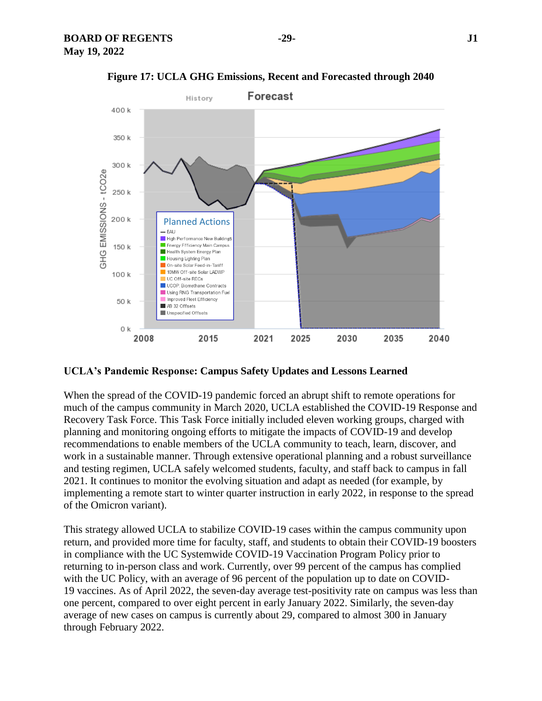

**Figure 17: UCLA GHG Emissions, Recent and Forecasted through 2040**

# **UCLA's Pandemic Response: Campus Safety Updates and Lessons Learned**

When the spread of the COVID-19 pandemic forced an abrupt shift to remote operations for much of the campus community in March 2020, UCLA established the COVID-19 Response and Recovery Task Force. This Task Force initially included eleven working groups, charged with planning and monitoring ongoing efforts to mitigate the impacts of COVID-19 and develop recommendations to enable members of the UCLA community to teach, learn, discover, and work in a sustainable manner. Through extensive operational planning and a robust surveillance and testing regimen, UCLA safely welcomed students, faculty, and staff back to campus in fall 2021. It continues to monitor the evolving situation and adapt as needed (for example, by implementing a remote start to winter quarter instruction in early 2022, in response to the spread of the Omicron variant).

This strategy allowed UCLA to stabilize COVID-19 cases within the campus community upon return, and provided more time for faculty, staff, and students to obtain their COVID-19 boosters in compliance with the UC Systemwide COVID-19 Vaccination Program Policy prior to returning to in-person class and work. Currently, over 99 percent of the campus has complied with the UC Policy, with an average of 96 percent of the population up to date on COVID-19 vaccines. As of April 2022, the seven-day average test-positivity rate on campus was less than one percent, compared to over eight percent in early January 2022. Similarly, the seven-day average of new cases on campus is currently about 29, compared to almost 300 in January through February 2022.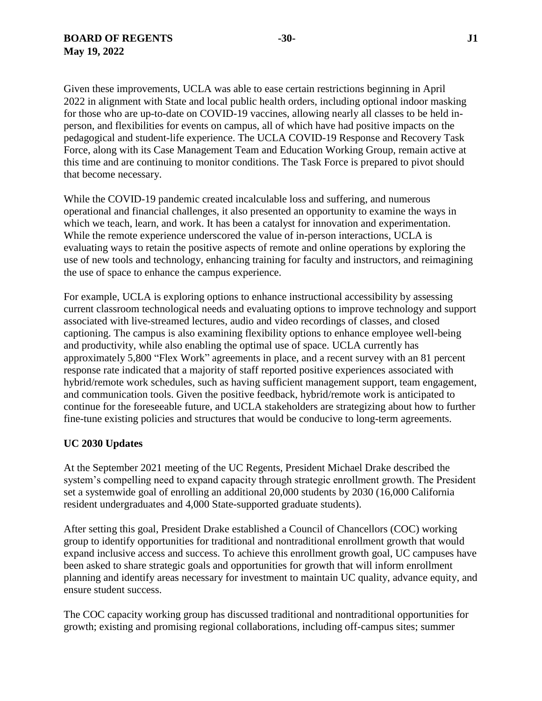Given these improvements, UCLA was able to ease certain restrictions beginning in April 2022 in alignment with State and local public health orders, including optional indoor masking for those who are up-to-date on COVID-19 vaccines, allowing nearly all classes to be held inperson, and flexibilities for events on campus, all of which have had positive impacts on the pedagogical and student-life experience. The UCLA COVID-19 Response and Recovery Task Force, along with its Case Management Team and Education Working Group, remain active at this time and are continuing to monitor conditions. The Task Force is prepared to pivot should that become necessary.

While the COVID-19 pandemic created incalculable loss and suffering, and numerous operational and financial challenges, it also presented an opportunity to examine the ways in which we teach, learn, and work. It has been a catalyst for innovation and experimentation. While the remote experience underscored the value of in-person interactions, UCLA is evaluating ways to retain the positive aspects of remote and online operations by exploring the use of new tools and technology, enhancing training for faculty and instructors, and reimagining the use of space to enhance the campus experience.

For example, UCLA is exploring options to enhance instructional accessibility by assessing current classroom technological needs and evaluating options to improve technology and support associated with live-streamed lectures, audio and video recordings of classes, and closed captioning. The campus is also examining flexibility options to enhance employee well-being and productivity, while also enabling the optimal use of space. UCLA currently has approximately 5,800 "Flex Work" agreements in place, and a recent survey with an 81 percent response rate indicated that a majority of staff reported positive experiences associated with hybrid/remote work schedules, such as having sufficient management support, team engagement, and communication tools. Given the positive feedback, hybrid/remote work is anticipated to continue for the foreseeable future, and UCLA stakeholders are strategizing about how to further fine-tune existing policies and structures that would be conducive to long-term agreements.

#### **UC 2030 Updates**

At the September 2021 meeting of the UC Regents, President Michael Drake described the system's compelling need to expand capacity through strategic enrollment growth. The President set a systemwide goal of enrolling an additional 20,000 students by 2030 (16,000 California resident undergraduates and 4,000 State-supported graduate students).

After setting this goal, President Drake established a Council of Chancellors (COC) working group to identify opportunities for traditional and nontraditional enrollment growth that would expand inclusive access and success. To achieve this enrollment growth goal, UC campuses have been asked to share strategic goals and opportunities for growth that will inform enrollment planning and identify areas necessary for investment to maintain UC quality, advance equity, and ensure student success.

The COC capacity working group has discussed traditional and nontraditional opportunities for growth; existing and promising regional collaborations, including off-campus sites; summer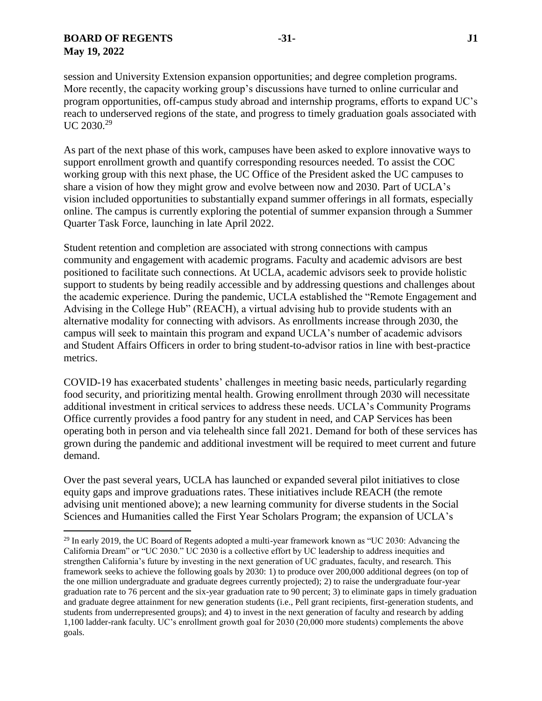$\overline{a}$ 

session and University Extension expansion opportunities; and degree completion programs. More recently, the capacity working group's discussions have turned to online curricular and program opportunities, off-campus study abroad and internship programs, efforts to expand UC's reach to underserved regions of the state, and progress to timely graduation goals associated with UC 2030.<sup>29</sup>

As part of the next phase of this work, campuses have been asked to explore innovative ways to support enrollment growth and quantify corresponding resources needed. To assist the COC working group with this next phase, the UC Office of the President asked the UC campuses to share a vision of how they might grow and evolve between now and 2030. Part of UCLA's vision included opportunities to substantially expand summer offerings in all formats, especially online. The campus is currently exploring the potential of summer expansion through a Summer Quarter Task Force, launching in late April 2022.

Student retention and completion are associated with strong connections with campus community and engagement with academic programs. Faculty and academic advisors are best positioned to facilitate such connections. At UCLA, academic advisors seek to provide holistic support to students by being readily accessible and by addressing questions and challenges about the academic experience. During the pandemic, UCLA established the "Remote Engagement and Advising in the College Hub" (REACH), a virtual advising hub to provide students with an alternative modality for connecting with advisors. As enrollments increase through 2030, the campus will seek to maintain this program and expand UCLA's number of academic advisors and Student Affairs Officers in order to bring student-to-advisor ratios in line with best-practice metrics.

COVID-19 has exacerbated students' challenges in meeting basic needs, particularly regarding food security, and prioritizing mental health. Growing enrollment through 2030 will necessitate additional investment in critical services to address these needs. UCLA's Community Programs Office currently provides a food pantry for any student in need, and CAP Services has been operating both in person and via telehealth since fall 2021. Demand for both of these services has grown during the pandemic and additional investment will be required to meet current and future demand.

Over the past several years, UCLA has launched or expanded several pilot initiatives to close equity gaps and improve graduations rates. These initiatives include REACH (the remote advising unit mentioned above); a new learning community for diverse students in the Social Sciences and Humanities called the First Year Scholars Program; the expansion of UCLA's

<sup>&</sup>lt;sup>29</sup> In early 2019, the UC Board of Regents adopted a multi-year framework known as "UC 2030: Advancing the California Dream" or "UC 2030." UC 2030 is a collective effort by UC leadership to address inequities and strengthen California's future by investing in the next generation of UC graduates, faculty, and research. This framework seeks to achieve the following goals by 2030: 1) to produce over 200,000 additional degrees (on top of the one million undergraduate and graduate degrees currently projected); 2) to raise the undergraduate four-year graduation rate to 76 percent and the six-year graduation rate to 90 percent; 3) to eliminate gaps in timely graduation and graduate degree attainment for new generation students (i.e., Pell grant recipients, first-generation students, and students from underrepresented groups); and 4) to invest in the next generation of faculty and research by adding 1,100 ladder-rank faculty. UC's enrollment growth goal for 2030 (20,000 more students) complements the above goals.